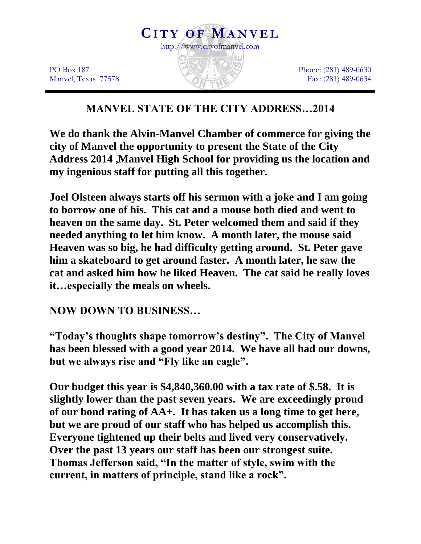

PO Box 187 Manvel, Texas 77578 Phone: (281) 489-0630 Fax: (281) 489-0634

# **MANVEL STATE OF THE CITY ADDRESS…2014**

**We do thank the Alvin-Manvel Chamber of commerce for giving the city of Manvel the opportunity to present the State of the City Address 2014 ,Manvel High School for providing us the location and my ingenious staff for putting all this together.**

**Joel Olsteen always starts off his sermon with a joke and I am going to borrow one of his. This cat and a mouse both died and went to heaven on the same day. St. Peter welcomed them and said if they needed anything to let him know. A month later, the mouse said Heaven was so big, he had difficulty getting around. St. Peter gave him a skateboard to get around faster. A month later, he saw the cat and asked him how he liked Heaven. The cat said he really loves it…especially the meals on wheels.**

### **NOW DOWN TO BUSINESS…**

**"Today's thoughts shape tomorrow's destiny". The City of Manvel has been blessed with a good year 2014. We have all had our downs, but we always rise and "Fly like an eagle".**

**Our budget this year is \$4,840,360.00 with a tax rate of \$.58. It is slightly lower than the past seven years. We are exceedingly proud of our bond rating of AA+. It has taken us a long time to get here, but we are proud of our staff who has helped us accomplish this. Everyone tightened up their belts and lived very conservatively. Over the past 13 years our staff has been our strongest suite. Thomas Jefferson said, "In the matter of style, swim with the current, in matters of principle, stand like a rock".**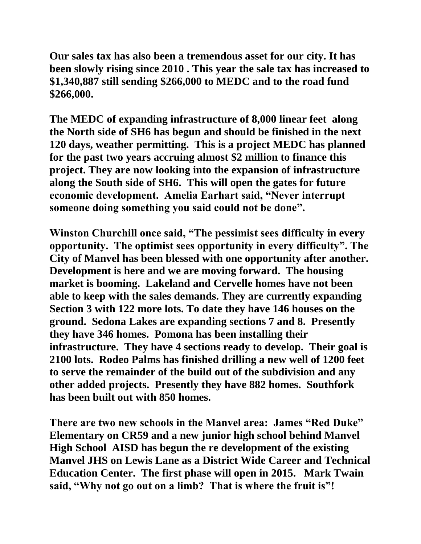**Our sales tax has also been a tremendous asset for our city. It has been slowly rising since 2010 . This year the sale tax has increased to \$1,340,887 still sending \$266,000 to MEDC and to the road fund \$266,000.**

**The MEDC of expanding infrastructure of 8,000 linear feet along the North side of SH6 has begun and should be finished in the next 120 days, weather permitting. This is a project MEDC has planned for the past two years accruing almost \$2 million to finance this project. They are now looking into the expansion of infrastructure along the South side of SH6. This will open the gates for future economic development. Amelia Earhart said, "Never interrupt someone doing something you said could not be done".**

**Winston Churchill once said, "The pessimist sees difficulty in every opportunity. The optimist sees opportunity in every difficulty". The City of Manvel has been blessed with one opportunity after another. Development is here and we are moving forward. The housing market is booming. Lakeland and Cervelle homes have not been able to keep with the sales demands. They are currently expanding Section 3 with 122 more lots. To date they have 146 houses on the ground. Sedona Lakes are expanding sections 7 and 8. Presently they have 346 homes. Pomona has been installing their infrastructure. They have 4 sections ready to develop. Their goal is 2100 lots. Rodeo Palms has finished drilling a new well of 1200 feet to serve the remainder of the build out of the subdivision and any other added projects. Presently they have 882 homes. Southfork has been built out with 850 homes.**

**There are two new schools in the Manvel area: James "Red Duke" Elementary on CR59 and a new junior high school behind Manvel High School AISD has begun the re development of the existing Manvel JHS on Lewis Lane as a District Wide Career and Technical Education Center. The first phase will open in 2015. Mark Twain said, "Why not go out on a limb? That is where the fruit is"!**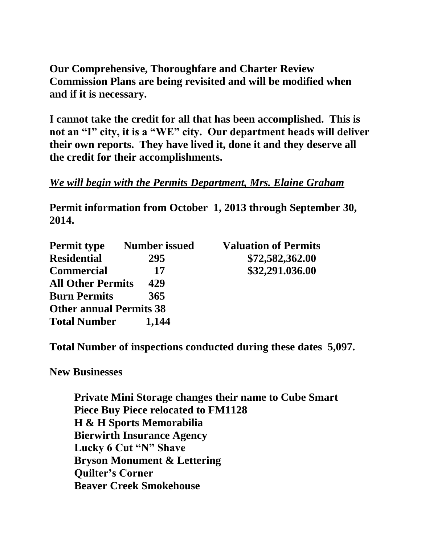**Our Comprehensive, Thoroughfare and Charter Review Commission Plans are being revisited and will be modified when and if it is necessary.** 

**I cannot take the credit for all that has been accomplished. This is not an "I" city, it is a "WE" city. Our department heads will deliver their own reports. They have lived it, done it and they deserve all the credit for their accomplishments.** 

#### *We will begin with the Permits Department, Mrs. Elaine Graham*

**Permit information from October 1, 2013 through September 30, 2014.**

| <b>Permit type</b>             | <b>Number issued</b> | <b>Valuation of Permits</b> |
|--------------------------------|----------------------|-----------------------------|
| <b>Residential</b>             | 295                  | \$72,582,362.00             |
| <b>Commercial</b>              | 17                   | \$32,291.036.00             |
| <b>All Other Permits</b>       | 429                  |                             |
| <b>Burn Permits</b>            | 365                  |                             |
| <b>Other annual Permits 38</b> |                      |                             |
| <b>Total Number</b>            | 1,144                |                             |

**Total Number of inspections conducted during these dates 5,097.**

**New Businesses**

**Private Mini Storage changes their name to Cube Smart Piece Buy Piece relocated to FM1128 H & H Sports Memorabilia Bierwirth Insurance Agency Lucky 6 Cut "N" Shave Bryson Monument & Lettering Quilter's Corner Beaver Creek Smokehouse**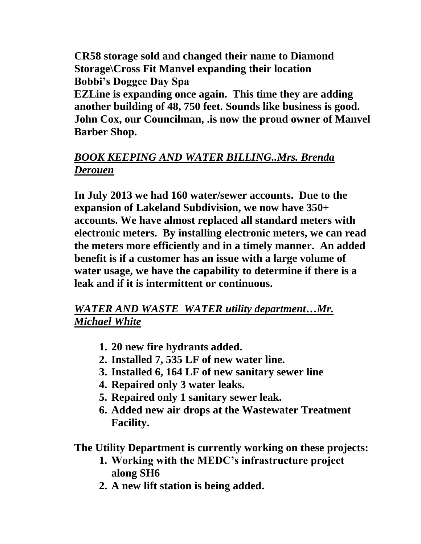**CR58 storage sold and changed their name to Diamond Storage\Cross Fit Manvel expanding their location Bobbi's Doggee Day Spa**

**EZLine is expanding once again. This time they are adding another building of 48, 750 feet. Sounds like business is good. John Cox, our Councilman, .is now the proud owner of Manvel Barber Shop.**

## *BOOK KEEPING AND WATER BILLING..Mrs. Brenda Derouen*

**In July 2013 we had 160 water/sewer accounts. Due to the expansion of Lakeland Subdivision, we now have 350+ accounts. We have almost replaced all standard meters with electronic meters. By installing electronic meters, we can read the meters more efficiently and in a timely manner. An added benefit is if a customer has an issue with a large volume of water usage, we have the capability to determine if there is a leak and if it is intermittent or continuous.**

### *WATER AND WASTE WATER utility department…Mr. Michael White*

- **1. 20 new fire hydrants added.**
- **2. Installed 7, 535 LF of new water line.**
- **3. Installed 6, 164 LF of new sanitary sewer line**
- **4. Repaired only 3 water leaks.**
- **5. Repaired only 1 sanitary sewer leak.**
- **6. Added new air drops at the Wastewater Treatment Facility.**

**The Utility Department is currently working on these projects:**

- **1. Working with the MEDC's infrastructure project along SH6**
- **2. A new lift station is being added.**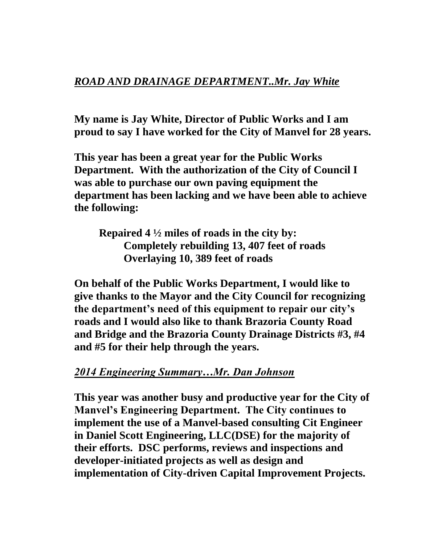#### *ROAD AND DRAINAGE DEPARTMENT..Mr. Jay White*

**My name is Jay White, Director of Public Works and I am proud to say I have worked for the City of Manvel for 28 years.**

**This year has been a great year for the Public Works Department. With the authorization of the City of Council I was able to purchase our own paving equipment the department has been lacking and we have been able to achieve the following:** 

**Repaired 4 ½ miles of roads in the city by: Completely rebuilding 13, 407 feet of roads Overlaying 10, 389 feet of roads**

**On behalf of the Public Works Department, I would like to give thanks to the Mayor and the City Council for recognizing the department's need of this equipment to repair our city's roads and I would also like to thank Brazoria County Road and Bridge and the Brazoria County Drainage Districts #3, #4 and #5 for their help through the years.**

#### *2014 Engineering Summary…Mr. Dan Johnson*

**This year was another busy and productive year for the City of Manvel's Engineering Department. The City continues to implement the use of a Manvel-based consulting Cit Engineer in Daniel Scott Engineering, LLC(DSE) for the majority of their efforts. DSC performs, reviews and inspections and developer-initiated projects as well as design and implementation of City-driven Capital Improvement Projects.**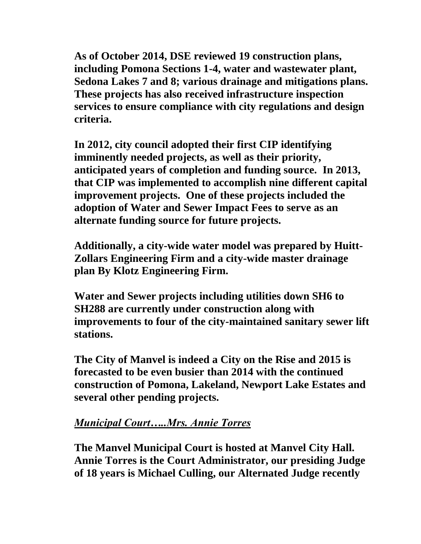**As of October 2014, DSE reviewed 19 construction plans, including Pomona Sections 1-4, water and wastewater plant, Sedona Lakes 7 and 8; various drainage and mitigations plans. These projects has also received infrastructure inspection services to ensure compliance with city regulations and design criteria.** 

**In 2012, city council adopted their first CIP identifying imminently needed projects, as well as their priority, anticipated years of completion and funding source. In 2013, that CIP was implemented to accomplish nine different capital improvement projects. One of these projects included the adoption of Water and Sewer Impact Fees to serve as an alternate funding source for future projects.** 

**Additionally, a city-wide water model was prepared by Huitt-Zollars Engineering Firm and a city-wide master drainage plan By Klotz Engineering Firm.** 

**Water and Sewer projects including utilities down SH6 to SH288 are currently under construction along with improvements to four of the city-maintained sanitary sewer lift stations.**

**The City of Manvel is indeed a City on the Rise and 2015 is forecasted to be even busier than 2014 with the continued construction of Pomona, Lakeland, Newport Lake Estates and several other pending projects.**

## *Municipal Court…..Mrs. Annie Torres*

**The Manvel Municipal Court is hosted at Manvel City Hall. Annie Torres is the Court Administrator, our presiding Judge of 18 years is Michael Culling, our Alternated Judge recently**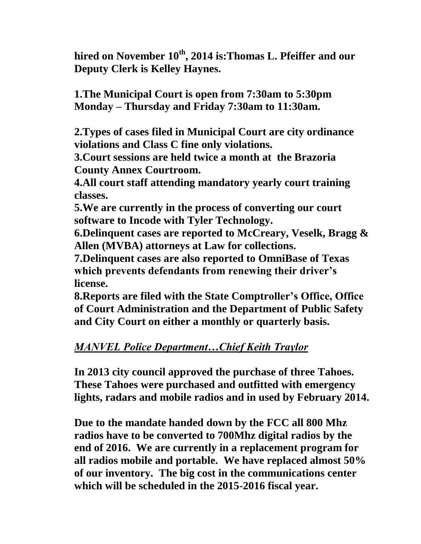**hired on November 10th, 2014 is:Thomas L. Pfeiffer and our Deputy Clerk is Kelley Haynes.**

**1.The Municipal Court is open from 7:30am to 5:30pm Monday – Thursday and Friday 7:30am to 11:30am.**

**2.Types of cases filed in Municipal Court are city ordinance violations and Class C fine only violations.**

**3.Court sessions are held twice a month at the Brazoria County Annex Courtroom.**

**4.All court staff attending mandatory yearly court training classes.**

**5.We are currently in the process of converting our court software to Incode with Tyler Technology.**

**6.Delinquent cases are reported to McCreary, Veselk, Bragg & Allen (MVBA) attorneys at Law for collections.**

**7.Delinquent cases are also reported to OmniBase of Texas which prevents defendants from renewing their driver's license.**

**8.Reports are filed with the State Comptroller's Office, Office of Court Administration and the Department of Public Safety and City Court on either a monthly or quarterly basis.**

## *MANVEL Police Department…Chief Keith Traylor*

**In 2013 city council approved the purchase of three Tahoes. These Tahoes were purchased and outfitted with emergency lights, radars and mobile radios and in used by February 2014.** 

**Due to the mandate handed down by the FCC all 800 Mhz radios have to be converted to 700Mhz digital radios by the end of 2016. We are currently in a replacement program for all radios mobile and portable. We have replaced almost 50% of our inventory. The big cost in the communications center which will be scheduled in the 2015-2016 fiscal year.**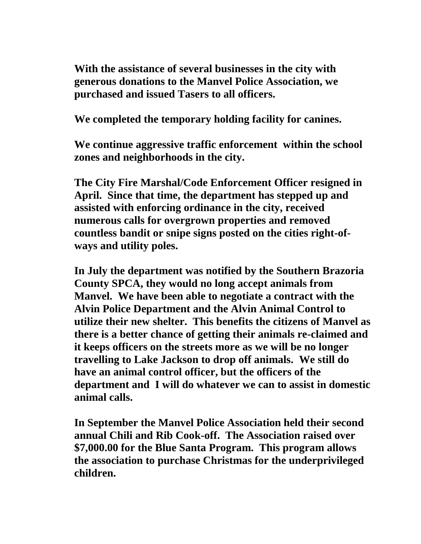**With the assistance of several businesses in the city with generous donations to the Manvel Police Association, we purchased and issued Tasers to all officers.**

**We completed the temporary holding facility for canines.**

**We continue aggressive traffic enforcement within the school zones and neighborhoods in the city.**

**The City Fire Marshal/Code Enforcement Officer resigned in April. Since that time, the department has stepped up and assisted with enforcing ordinance in the city, received numerous calls for overgrown properties and removed countless bandit or snipe signs posted on the cities right-ofways and utility poles.**

**In July the department was notified by the Southern Brazoria County SPCA, they would no long accept animals from Manvel. We have been able to negotiate a contract with the Alvin Police Department and the Alvin Animal Control to utilize their new shelter. This benefits the citizens of Manvel as there is a better chance of getting their animals re-claimed and it keeps officers on the streets more as we will be no longer travelling to Lake Jackson to drop off animals. We still do have an animal control officer, but the officers of the department and I will do whatever we can to assist in domestic animal calls.**

**In September the Manvel Police Association held their second annual Chili and Rib Cook-off. The Association raised over \$7,000.00 for the Blue Santa Program. This program allows the association to purchase Christmas for the underprivileged children.**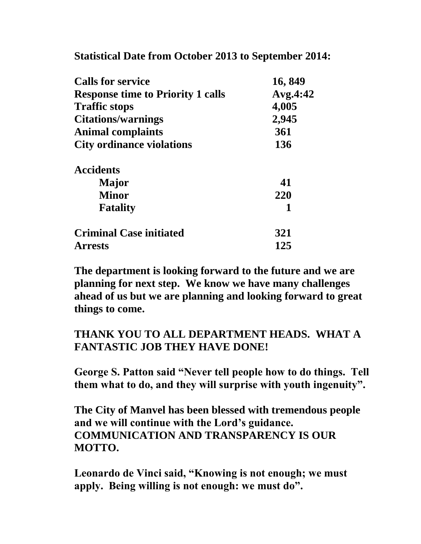**Statistical Date from October 2013 to September 2014:**

| <b>Calls for service</b>                 | 16,849              |
|------------------------------------------|---------------------|
| <b>Response time to Priority 1 calls</b> | Avg.4:42            |
| <b>Traffic stops</b>                     | 4,005               |
| <b>Citations/warnings</b>                | 2,945<br>361<br>136 |
| <b>Animal complaints</b>                 |                     |
| <b>City ordinance violations</b>         |                     |
| <b>Accidents</b>                         |                     |
| <b>Major</b>                             | 41                  |
| <b>Minor</b>                             | 220                 |
| <b>Fatality</b>                          | 1                   |
| <b>Criminal Case initiated</b>           | 321                 |
| <b>Arrests</b>                           | 125                 |

**The department is looking forward to the future and we are planning for next step. We know we have many challenges ahead of us but we are planning and looking forward to great things to come.**

## **THANK YOU TO ALL DEPARTMENT HEADS. WHAT A FANTASTIC JOB THEY HAVE DONE!**

**George S. Patton said "Never tell people how to do things. Tell them what to do, and they will surprise with youth ingenuity".**

**The City of Manvel has been blessed with tremendous people and we will continue with the Lord's guidance. COMMUNICATION AND TRANSPARENCY IS OUR MOTTO.**

**Leonardo de Vinci said, "Knowing is not enough; we must apply. Being willing is not enough: we must do".**